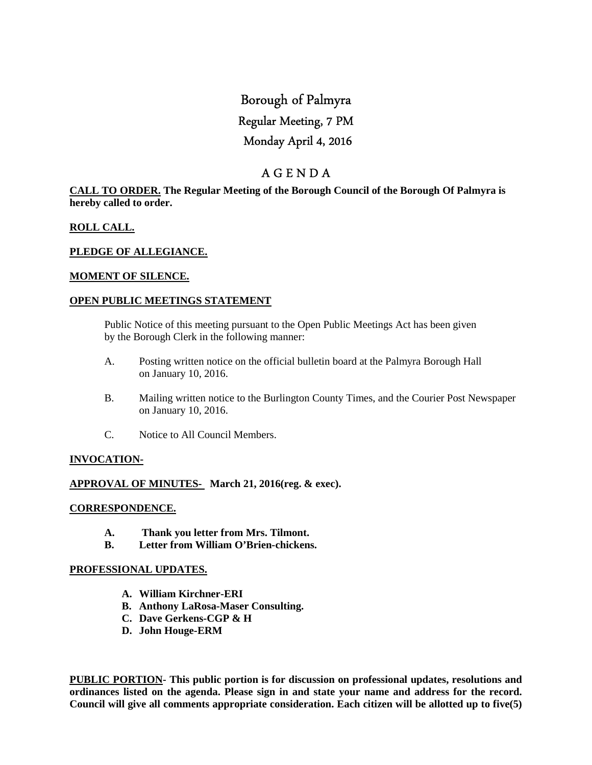# Borough of Palmyra Regular Meeting, 7 PM Monday April 4, 2016

## A G E N D A

## **CALL TO ORDER. The Regular Meeting of the Borough Council of the Borough Of Palmyra is hereby called to order.**

## **ROLL CALL.**

## **PLEDGE OF ALLEGIANCE.**

## **MOMENT OF SILENCE.**

## **OPEN PUBLIC MEETINGS STATEMENT**

 Public Notice of this meeting pursuant to the Open Public Meetings Act has been given by the Borough Clerk in the following manner:

- A. Posting written notice on the official bulletin board at the Palmyra Borough Hall on January 10, 2016.
- B. Mailing written notice to the Burlington County Times, and the Courier Post Newspaper on January 10, 2016.
- C. Notice to All Council Members.

## **INVOCATION-**

## **APPROVAL OF MINUTES- March 21, 2016(reg. & exec).**

#### **CORRESPONDENCE.**

- **A. Thank you letter from Mrs. Tilmont.**
- **B. Letter from William O'Brien-chickens.**

#### **PROFESSIONAL UPDATES.**

- **A. William Kirchner-ERI**
- **B. Anthony LaRosa-Maser Consulting.**
- **C. Dave Gerkens-CGP & H**
- **D. John Houge-ERM**

**PUBLIC PORTION- This public portion is for discussion on professional updates, resolutions and ordinances listed on the agenda. Please sign in and state your name and address for the record. Council will give all comments appropriate consideration. Each citizen will be allotted up to five(5)**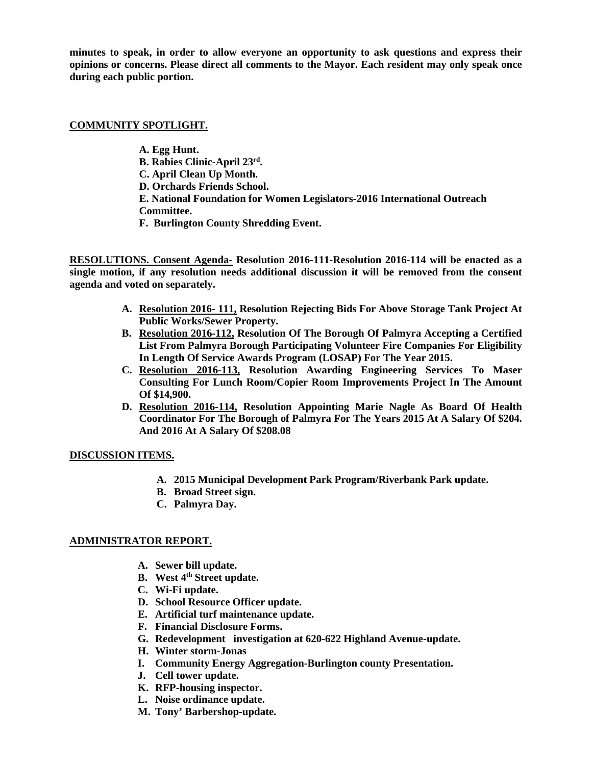**minutes to speak, in order to allow everyone an opportunity to ask questions and express their opinions or concerns. Please direct all comments to the Mayor. Each resident may only speak once during each public portion.** 

### **COMMUNITY SPOTLIGHT.**

 **A. Egg Hunt. B. Rabies Clinic-April 23rd . C. April Clean Up Month. D. Orchards Friends School. E. National Foundation for Women Legislators-2016 International Outreach Committee. F. Burlington County Shredding Event.** 

**RESOLUTIONS. Consent Agenda- Resolution 2016-111-Resolution 2016-114 will be enacted as a single motion, if any resolution needs additional discussion it will be removed from the consent agenda and voted on separately.** 

- **A. Resolution 2016- 111, Resolution Rejecting Bids For Above Storage Tank Project At Public Works/Sewer Property.**
- **B. Resolution 2016-112, Resolution Of The Borough Of Palmyra Accepting a Certified List From Palmyra Borough Participating Volunteer Fire Companies For Eligibility In Length Of Service Awards Program (LOSAP) For The Year 2015.**
- **C. Resolution 2016-113, Resolution Awarding Engineering Services To Maser Consulting For Lunch Room/Copier Room Improvements Project In The Amount Of \$14,900.**
- **D. Resolution 2016-114, Resolution Appointing Marie Nagle As Board Of Health Coordinator For The Borough of Palmyra For The Years 2015 At A Salary Of \$204. And 2016 At A Salary Of \$208.08**

## **DISCUSSION ITEMS.**

- **A. 2015 Municipal Development Park Program/Riverbank Park update.**
- **B. Broad Street sign.**
- **C. Palmyra Day.**

## **ADMINISTRATOR REPORT.**

- **A. Sewer bill update.**
- **B. West 4th Street update.**
- **C. Wi-Fi update.**
- **D. School Resource Officer update.**
- **E. Artificial turf maintenance update.**
- **F. Financial Disclosure Forms.**
- **G. Redevelopment investigation at 620-622 Highland Avenue-update.**
- **H. Winter storm-Jonas**
- **I. Community Energy Aggregation-Burlington county Presentation.**
- **J. Cell tower update.**
- **K. RFP-housing inspector.**
- **L. Noise ordinance update.**
- **M. Tony' Barbershop-update.**